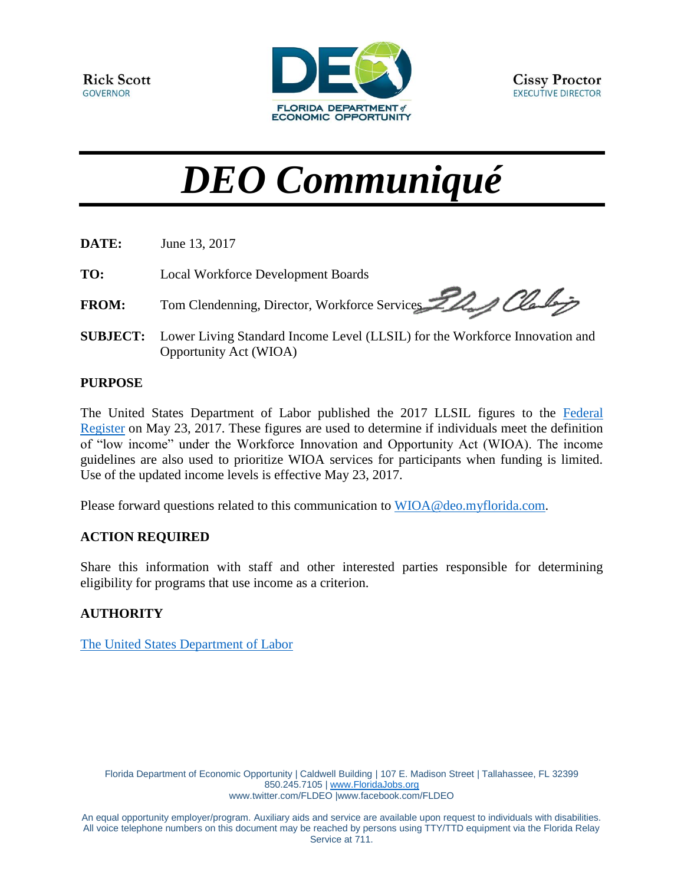

# *DEO Communiqué*

| DATE:           | June 13, 2017                                                                                         |
|-----------------|-------------------------------------------------------------------------------------------------------|
| TO:             | Local Workforce Development Boards                                                                    |
| <b>FROM:</b>    | Tom Clendenning, Director, Workforce Services 22 Queles                                               |
| <b>SUBJECT:</b> | Lower Living Standard Income Level (LLSIL) for the Workforce Innovation and<br>Opportunity Act (WIOA) |

#### **PURPOSE**

The United States Department of Labor published the 2017 LLSIL figures to the [Federal](https://www.gpo.gov/fdsys/pkg/FR-2017-05-23/pdf/2017-10496.pdf)  [Register](https://www.gpo.gov/fdsys/pkg/FR-2017-05-23/pdf/2017-10496.pdf) on May 23, 2017. These figures are used to determine if individuals meet the definition of "low income" under the Workforce Innovation and Opportunity Act (WIOA). The income guidelines are also used to prioritize WIOA services for participants when funding is limited. Use of the updated income levels is effective May 23, 2017.

Please forward questions related to this communication to [WIOA@deo.myflorida.com.](mailto:WIOA@deo.myflorida.com)

### **ACTION REQUIRED**

Share this information with staff and other interested parties responsible for determining eligibility for programs that use income as a criterion.

### **AUTHORITY**

[The United States Department of Labor](https://www.gpo.gov/fdsys/pkg/FR-2017-05-23/pdf/2017-10496.pdf)

Florida Department of Economic Opportunity | Caldwell Building | 107 E. Madison Street | Tallahassee, FL 32399 850.245.7105 | [www.FloridaJobs.org](http://www.floridajobs.org/) [www.twitter.com/FLDEO](http://www.twitter.com/FLDEO) |www.facebook.com/FLDEO

An equal opportunity employer/program. Auxiliary aids and service are available upon request to individuals with disabilities. All voice telephone numbers on this document may be reached by persons using TTY/TTD equipment via the Florida Relay Service at 711.